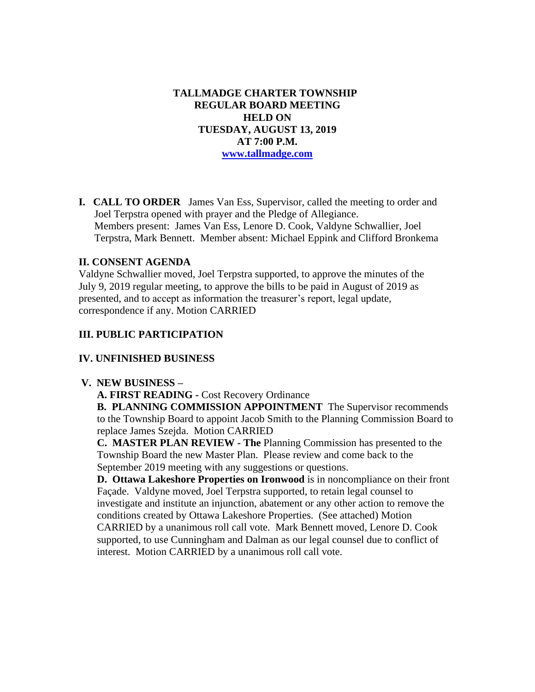**TALLMADGE CHARTER TOWNSHIP REGULAR BOARD MEETING HELD ON TUESDAY, AUGUST 13, 2019 AT 7:00 P.M. [www.tallmadge.com](http://www.tallmadge.com/)**

**I. CALL TO ORDER** James Van Ess, Supervisor, called the meeting to order and Joel Terpstra opened with prayer and the Pledge of Allegiance. Members present: James Van Ess, Lenore D. Cook, Valdyne Schwallier, Joel Terpstra, Mark Bennett. Member absent: Michael Eppink and Clifford Bronkema

### **II. CONSENT AGENDA**

Valdyne Schwallier moved, Joel Terpstra supported, to approve the minutes of the July 9, 2019 regular meeting, to approve the bills to be paid in August of 2019 as presented, and to accept as information the treasurer's report, legal update, correspondence if any. Motion CARRIED

### **III. PUBLIC PARTICIPATION**

### **IV. UNFINISHED BUSINESS**

#### **V. NEW BUSINESS –**

**A. FIRST READING -** Cost Recovery Ordinance

 **B. PLANNING COMMISSION APPOINTMENT** The Supervisor recommends to the Township Board to appoint Jacob Smith to the Planning Commission Board to replace James Szejda. Motion CARRIED

 **C. MASTER PLAN REVIEW - The** Planning Commission has presented to the Township Board the new Master Plan. Please review and come back to the September 2019 meeting with any suggestions or questions.

 **D. Ottawa Lakeshore Properties on Ironwood** is in noncompliance on their front Façade. Valdyne moved, Joel Terpstra supported, to retain legal counsel to investigate and institute an injunction, abatement or any other action to remove the conditions created by Ottawa Lakeshore Properties. (See attached) Motion CARRIED by a unanimous roll call vote. Mark Bennett moved, Lenore D. Cook supported, to use Cunningham and Dalman as our legal counsel due to conflict of interest. Motion CARRIED by a unanimous roll call vote.